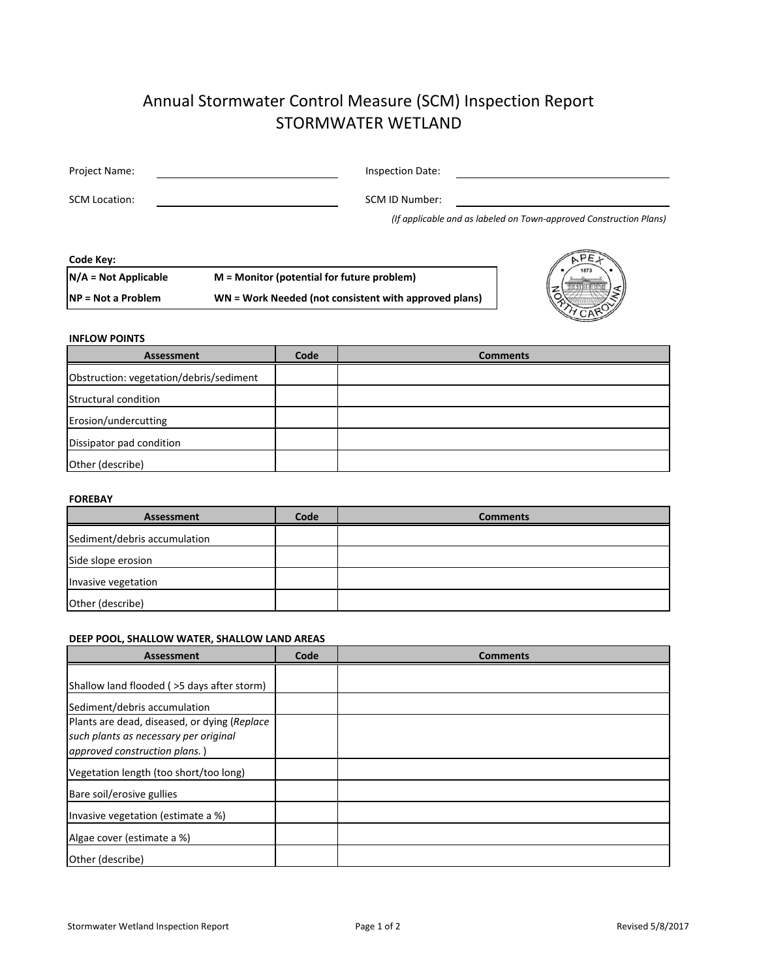# Annual Stormwater Control Measure (SCM) Inspection Report STORMWATER WETLAND

| Project Name:        | Inspection Date: |  |
|----------------------|------------------|--|
| <b>SCM Location:</b> | SCM ID Number:   |  |

*(If applicable and as labeled on Town‐approved Construction Plans)*

**Code Key:**

**N/A = Not Applicable M = Monitor (potential for future problem)**

**NP = Not a Problem WN = Work Needed (not consistent with approved plans)**



## **INFLOW POINTS**

| <b>Assessment</b>                       | Code | <b>Comments</b> |
|-----------------------------------------|------|-----------------|
| Obstruction: vegetation/debris/sediment |      |                 |
| Structural condition                    |      |                 |
| Erosion/undercutting                    |      |                 |
| Dissipator pad condition                |      |                 |
| Other (describe)                        |      |                 |

### **FOREBAY**

| Assessment                   | Code | <b>Comments</b> |
|------------------------------|------|-----------------|
| Sediment/debris accumulation |      |                 |
| Side slope erosion           |      |                 |
| Invasive vegetation          |      |                 |
| Other (describe)             |      |                 |

# **DEEP POOL, SHALLOW WATER, SHALLOW LAND AREAS**

| <b>Assessment</b>                                                                                                      | Code | <b>Comments</b> |
|------------------------------------------------------------------------------------------------------------------------|------|-----------------|
| Shallow land flooded ( > 5 days after storm)                                                                           |      |                 |
| Sediment/debris accumulation                                                                                           |      |                 |
| Plants are dead, diseased, or dying (Replace<br>such plants as necessary per original<br>approved construction plans.) |      |                 |
| Vegetation length (too short/too long)                                                                                 |      |                 |
| Bare soil/erosive gullies                                                                                              |      |                 |
| Invasive vegetation (estimate a %)                                                                                     |      |                 |
| Algae cover (estimate a %)                                                                                             |      |                 |
| Other (describe)                                                                                                       |      |                 |